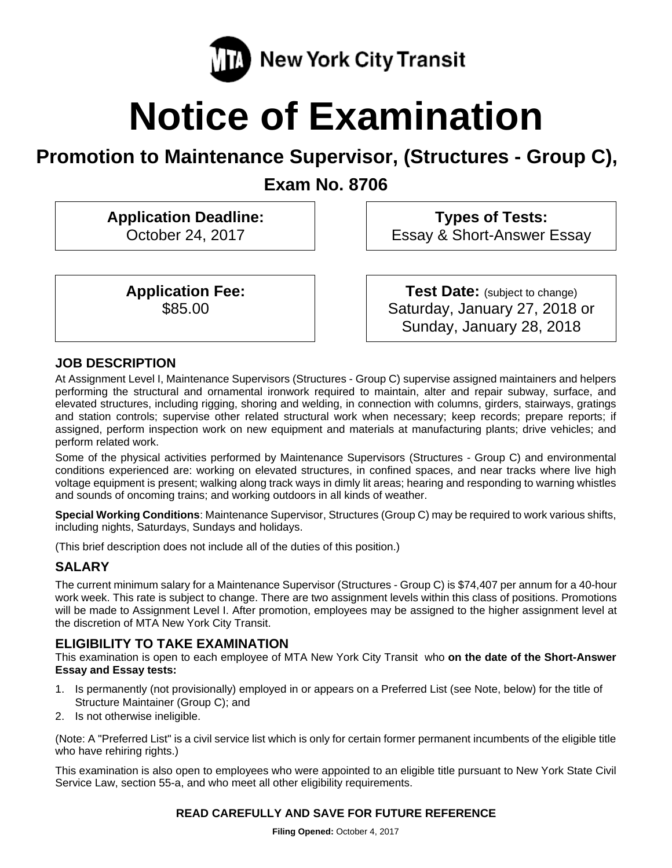

# **Notice of Examination**

# **Promotion to Maintenance Supervisor, (Structures - Group C),**

**Exam No. 8706** 

**Application Deadline:**  October 24, 2017

> **Application Fee:**  \$85.00

 **Types of Tests:**  Essay & Short-Answer Essay

**Test Date:** (subject to change) Saturday, January 27, 2018 or Sunday, January 28, 2018

# **JOB DESCRIPTION**

At Assignment Level I, Maintenance Supervisors (Structures - Group C) supervise assigned maintainers and helpers performing the structural and ornamental ironwork required to maintain, alter and repair subway, surface, and elevated structures, including rigging, shoring and welding, in connection with columns, girders, stairways, gratings and station controls; supervise other related structural work when necessary; keep records; prepare reports; if assigned, perform inspection work on new equipment and materials at manufacturing plants; drive vehicles; and perform related work.

Some of the physical activities performed by Maintenance Supervisors (Structures - Group C) and environmental conditions experienced are: working on elevated structures, in confined spaces, and near tracks where live high voltage equipment is present; walking along track ways in dimly lit areas; hearing and responding to warning whistles and sounds of oncoming trains; and working outdoors in all kinds of weather.

**Special Working Conditions**: Maintenance Supervisor, Structures (Group C) may be required to work various shifts, including nights, Saturdays, Sundays and holidays.

(This brief description does not include all of the duties of this position.)

# **SALARY**

The current minimum salary for a Maintenance Supervisor (Structures - Group C) is \$74,407 per annum for a 40-hour work week. This rate is subject to change. There are two assignment levels within this class of positions. Promotions will be made to Assignment Level I. After promotion, employees may be assigned to the higher assignment level at the discretion of MTA New York City Transit.

### **ELIGIBILITY TO TAKE EXAMINATION**

This examination is open to each employee of MTA New York City Transit who **on the date of the Short-Answer Essay and Essay tests:** 

- 1. Is permanently (not provisionally) employed in or appears on a Preferred List (see Note, below) for the title of Structure Maintainer (Group C); and
- 2. Is not otherwise ineligible.

(Note: A "Preferred List" is a civil service list which is only for certain former permanent incumbents of the eligible title who have rehiring rights.)

This examination is also open to employees who were appointed to an eligible title pursuant to New York State Civil Service Law, section 55-a, and who meet all other eligibility requirements.

### **READ CAREFULLY AND SAVE FOR FUTURE REFERENCE**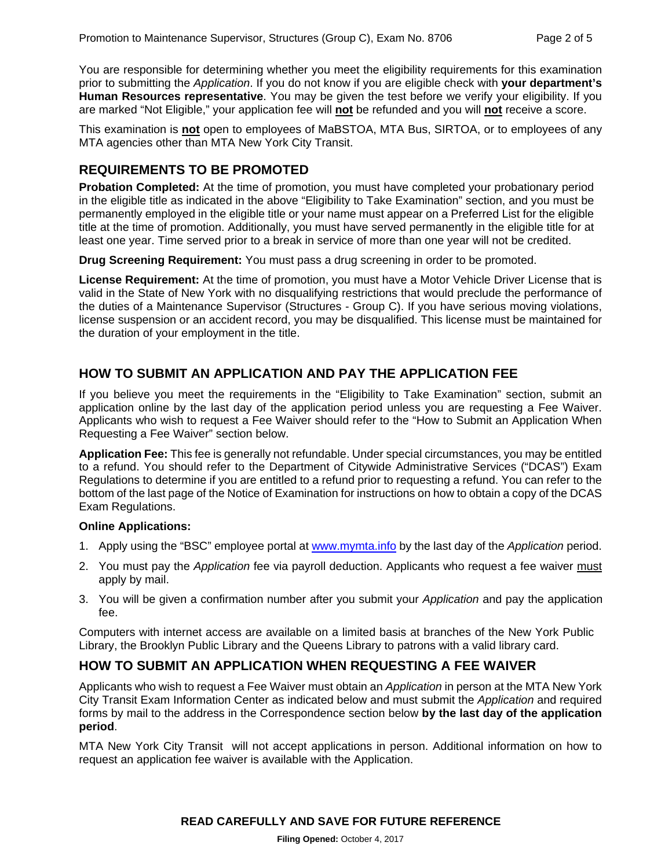You are responsible for determining whether you meet the eligibility requirements for this examination prior to submitting the *Application*. If you do not know if you are eligible check with **your department's Human Resources representative**. You may be given the test before we verify your eligibility. If you are marked "Not Eligible," your application fee will **not** be refunded and you will **not** receive a score.

This examination is **not** open to employees of MaBSTOA, MTA Bus, SIRTOA, or to employees of any MTA agencies other than MTA New York City Transit.

#### **REQUIREMENTS TO BE PROMOTED**

**Probation Completed:** At the time of promotion, you must have completed your probationary period in the eligible title as indicated in the above "Eligibility to Take Examination" section, and you must be permanently employed in the eligible title or your name must appear on a Preferred List for the eligible title at the time of promotion. Additionally, you must have served permanently in the eligible title for at least one year. Time served prior to a break in service of more than one year will not be credited.

**Drug Screening Requirement:** You must pass a drug screening in order to be promoted.

**License Requirement:** At the time of promotion, you must have a Motor Vehicle Driver License that is valid in the State of New York with no disqualifying restrictions that would preclude the performance of the duties of a Maintenance Supervisor (Structures - Group C). If you have serious moving violations, license suspension or an accident record, you may be disqualified. This license must be maintained for the duration of your employment in the title.

#### **HOW TO SUBMIT AN APPLICATION AND PAY THE APPLICATION FEE**

If you believe you meet the requirements in the "Eligibility to Take Examination" section, submit an application online by the last day of the application period unless you are requesting a Fee Waiver. Applicants who wish to request a Fee Waiver should refer to the "How to Submit an Application When Requesting a Fee Waiver" section below.

**Application Fee:** This fee is generally not refundable. Under special circumstances, you may be entitled to a refund. You should refer to the Department of Citywide Administrative Services ("DCAS") Exam Regulations to determine if you are entitled to a refund prior to requesting a refund. You can refer to the bottom of the last page of the Notice of Examination for instructions on how to obtain a copy of the DCAS Exam Regulations.

#### **Online Applications:**

- 1. Apply using the "BSC" employee portal at www.mymta.info by the last day of the *Application* period.
- 2. You must pay the *Application* fee via payroll deduction. Applicants who request a fee waiver must apply by mail.
- 3. You will be given a confirmation number after you submit your *Application* and pay the application fee.

Computers with internet access are available on a limited basis at branches of the New York Public Library, the Brooklyn Public Library and the Queens Library to patrons with a valid library card.

#### **HOW TO SUBMIT AN APPLICATION WHEN REQUESTING A FEE WAIVER**

Applicants who wish to request a Fee Waiver must obtain an *Application* in person at the MTA New York City Transit Exam Information Center as indicated below and must submit the *Application* and required forms by mail to the address in the Correspondence section below **by the last day of the application period**.

MTA New York City Transit will not accept applications in person. Additional information on how to request an application fee waiver is available with the Application.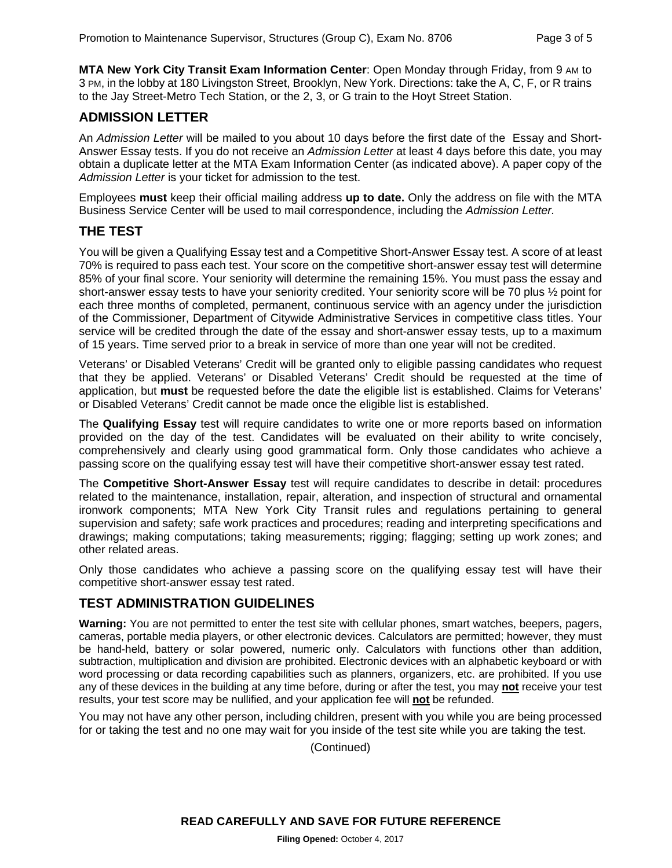**MTA New York City Transit Exam Information Center**: Open Monday through Friday, from 9 AM to 3 PM, in the lobby at 180 Livingston Street, Brooklyn, New York. Directions: take the A, C, F, or R trains to the Jay Street-Metro Tech Station, or the 2, 3, or G train to the Hoyt Street Station.

#### **ADMISSION LETTER**

An *Admission Letter* will be mailed to you about 10 days before the first date of the Essay and Short-Answer Essay tests. If you do not receive an *Admission Letter* at least 4 days before this date, you may obtain a duplicate letter at the MTA Exam Information Center (as indicated above). A paper copy of the *Admission Letter* is your ticket for admission to the test.

Employees **must** keep their official mailing address **up to date.** Only the address on file with the MTA Business Service Center will be used to mail correspondence, including the *Admission Letter.*

#### **THE TEST**

You will be given a Qualifying Essay test and a Competitive Short-Answer Essay test. A score of at least 70% is required to pass each test. Your score on the competitive short-answer essay test will determine 85% of your final score. Your seniority will determine the remaining 15%. You must pass the essay and short-answer essay tests to have your seniority credited. Your seniority score will be 70 plus ½ point for each three months of completed, permanent, continuous service with an agency under the jurisdiction of the Commissioner, Department of Citywide Administrative Services in competitive class titles. Your service will be credited through the date of the essay and short-answer essay tests, up to a maximum of 15 years. Time served prior to a break in service of more than one year will not be credited.

Veterans' or Disabled Veterans' Credit will be granted only to eligible passing candidates who request that they be applied. Veterans' or Disabled Veterans' Credit should be requested at the time of application, but **must** be requested before the date the eligible list is established. Claims for Veterans' or Disabled Veterans' Credit cannot be made once the eligible list is established.

The **Qualifying Essay** test will require candidates to write one or more reports based on information provided on the day of the test. Candidates will be evaluated on their ability to write concisely, comprehensively and clearly using good grammatical form. Only those candidates who achieve a passing score on the qualifying essay test will have their competitive short-answer essay test rated.

The **Competitive Short-Answer Essay** test will require candidates to describe in detail: procedures related to the maintenance, installation, repair, alteration, and inspection of structural and ornamental ironwork components; MTA New York City Transit rules and regulations pertaining to general supervision and safety; safe work practices and procedures; reading and interpreting specifications and drawings; making computations; taking measurements; rigging; flagging; setting up work zones; and other related areas.

Only those candidates who achieve a passing score on the qualifying essay test will have their competitive short-answer essay test rated.

#### **TEST ADMINISTRATION GUIDELINES**

**Warning:** You are not permitted to enter the test site with cellular phones, smart watches, beepers, pagers, cameras, portable media players, or other electronic devices. Calculators are permitted; however, they must be hand-held, battery or solar powered, numeric only. Calculators with functions other than addition, subtraction, multiplication and division are prohibited. Electronic devices with an alphabetic keyboard or with word processing or data recording capabilities such as planners, organizers, etc. are prohibited. If you use any of these devices in the building at any time before, during or after the test, you may **not** receive your test results, your test score may be nullified, and your application fee will **not** be refunded.

You may not have any other person, including children, present with you while you are being processed for or taking the test and no one may wait for you inside of the test site while you are taking the test.

(Continued)

**READ CAREFULLY AND SAVE FOR FUTURE REFERENCE**

**Filing Opened:** October 4, 2017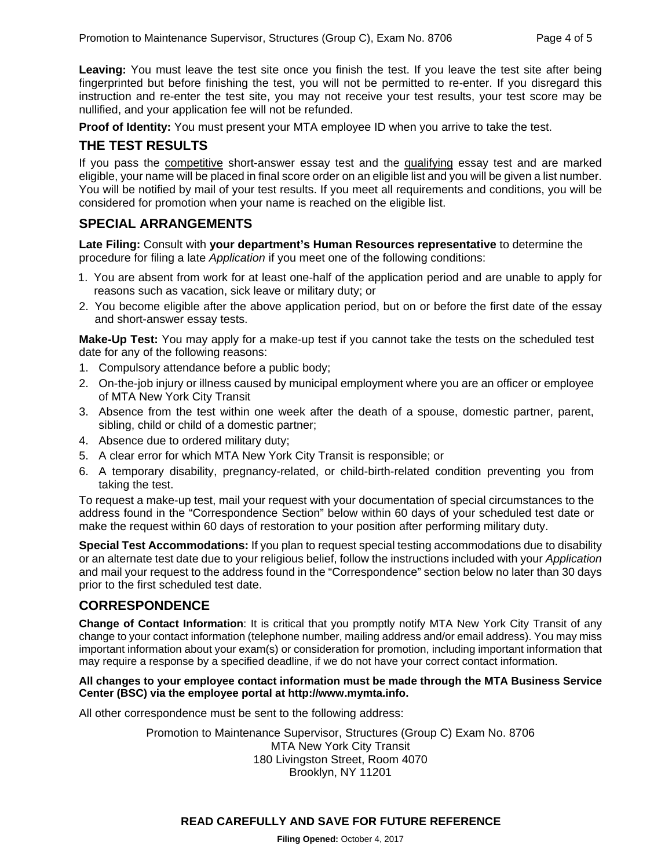**Leaving:** You must leave the test site once you finish the test. If you leave the test site after being fingerprinted but before finishing the test, you will not be permitted to re-enter. If you disregard this instruction and re-enter the test site, you may not receive your test results, your test score may be nullified, and your application fee will not be refunded.

**Proof of Identity:** You must present your MTA employee ID when you arrive to take the test.

## **THE TEST RESULTS**

If you pass the competitive short-answer essay test and the qualifying essay test and are marked eligible, your name will be placed in final score order on an eligible list and you will be given a list number. You will be notified by mail of your test results. If you meet all requirements and conditions, you will be considered for promotion when your name is reached on the eligible list.

#### **SPECIAL ARRANGEMENTS**

**Late Filing:** Consult with **your department's Human Resources representative** to determine the procedure for filing a late *Application* if you meet one of the following conditions:

- 1. You are absent from work for at least one-half of the application period and are unable to apply for reasons such as vacation, sick leave or military duty; or
- 2. You become eligible after the above application period, but on or before the first date of the essay and short-answer essay tests.

**Make-Up Test:** You may apply for a make-up test if you cannot take the tests on the scheduled test date for any of the following reasons:

- 1. Compulsory attendance before a public body;
- 2. On-the-job injury or illness caused by municipal employment where you are an officer or employee of MTA New York City Transit
- 3. Absence from the test within one week after the death of a spouse, domestic partner, parent, sibling, child or child of a domestic partner;
- 4. Absence due to ordered military duty;
- 5. A clear error for which MTA New York City Transit is responsible; or
- 6. A temporary disability, pregnancy-related, or child-birth-related condition preventing you from taking the test.

To request a make-up test, mail your request with your documentation of special circumstances to the address found in the "Correspondence Section" below within 60 days of your scheduled test date or make the request within 60 days of restoration to your position after performing military duty.

**Special Test Accommodations:** If you plan to request special testing accommodations due to disability or an alternate test date due to your religious belief, follow the instructions included with your *Application*  and mail your request to the address found in the "Correspondence" section below no later than 30 days prior to the first scheduled test date.

### **CORRESPONDENCE**

**Change of Contact Information**: It is critical that you promptly notify MTA New York City Transit of any change to your contact information (telephone number, mailing address and/or email address). You may miss important information about your exam(s) or consideration for promotion, including important information that may require a response by a specified deadline, if we do not have your correct contact information.

#### **All changes to your employee contact information must be made through the MTA Business Service Center (BSC) via the employee portal at http://www.mymta.info.**

All other correspondence must be sent to the following address:

Promotion to Maintenance Supervisor, Structures (Group C) Exam No. 8706 MTA New York City Transit 180 Livingston Street, Room 4070 Brooklyn, NY 11201

#### **READ CAREFULLY AND SAVE FOR FUTURE REFERENCE**